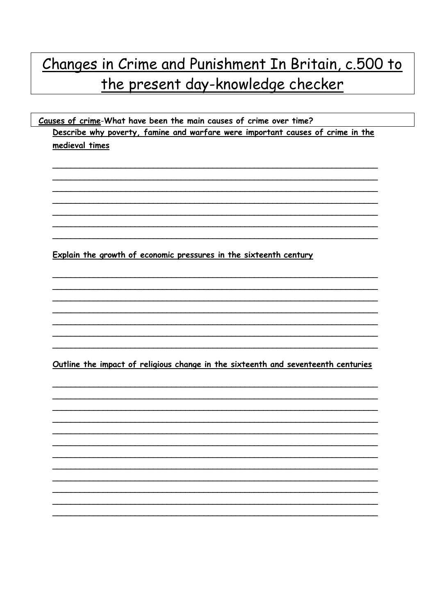## Changes in Crime and Punishment In Britain, c.500 to the present day-knowledge checker

Causes of crime-What have been the main causes of crime over time? Describe why poverty, famine and warfare were important causes of crime in the medieval times

Explain the growth of economic pressures in the sixteenth century

Outline the impact of religious change in the sixteenth and seventeenth centuries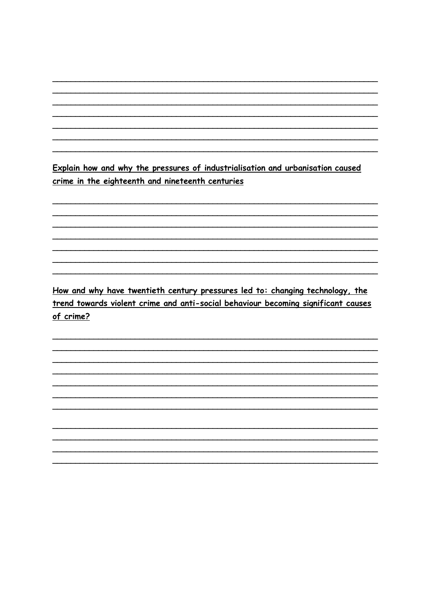Explain how and why the pressures of industrialisation and urbanisation caused crime in the eighteenth and nineteenth centuries

How and why have twentieth century pressures led to: changing technology, the trend towards violent crime and anti-social behaviour becoming significant causes of crime?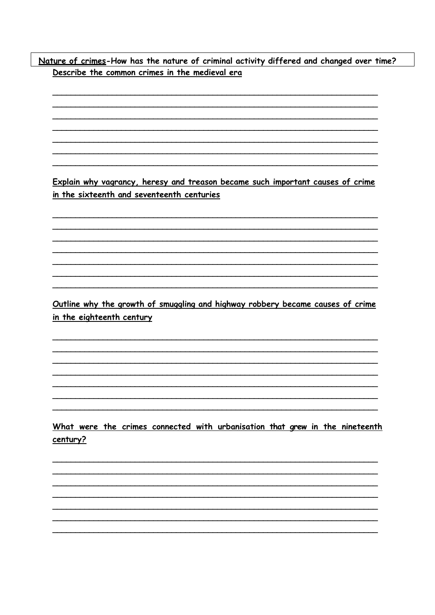Nature of crimes-How has the nature of criminal activity differed and changed over time? Describe the common crimes in the medieval era

Explain why vagrancy, heresy and treason became such important causes of crime in the sixteenth and seventeenth centuries

Outline why the growth of smuggling and highway robbery became causes of crime in the eighteenth century

What were the crimes connected with urbanisation that grew in the nineteenth century?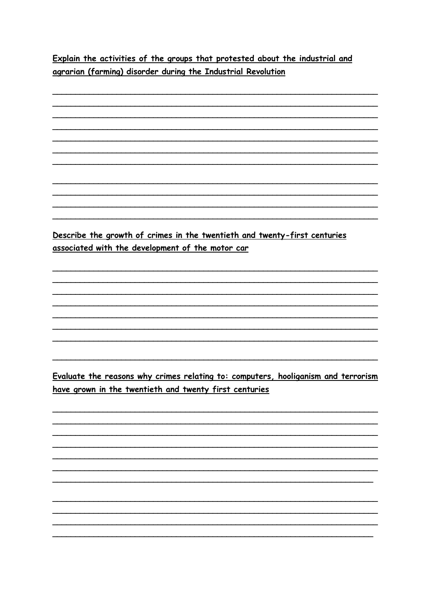Explain the activities of the groups that protested about the industrial and agrarian (farming) disorder during the Industrial Revolution

Describe the growth of crimes in the twentieth and twenty-first centuries associated with the development of the motor car Evaluate the reasons why crimes relating to: computers, hooliganism and terrorism have grown in the twentieth and twenty first centuries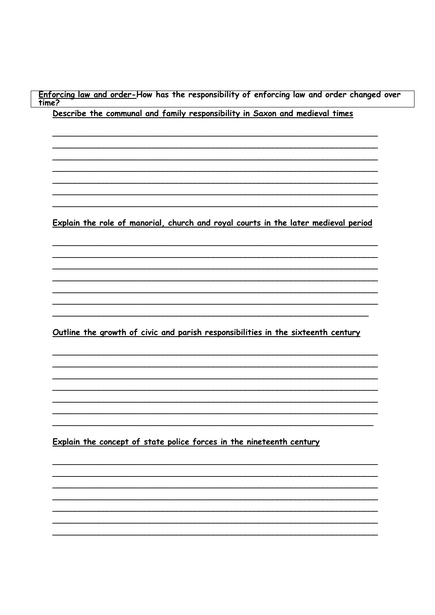<u>Enforcing law and order-</u>How has the responsibility of enforcing law and order changed over<br>time? Describe the communal and family responsibility in Saxon and medieval times

Explain the role of manorial, church and royal courts in the later medieval period

Outline the growth of civic and parish responsibilities in the sixteenth century

Explain the concept of state police forces in the nineteenth century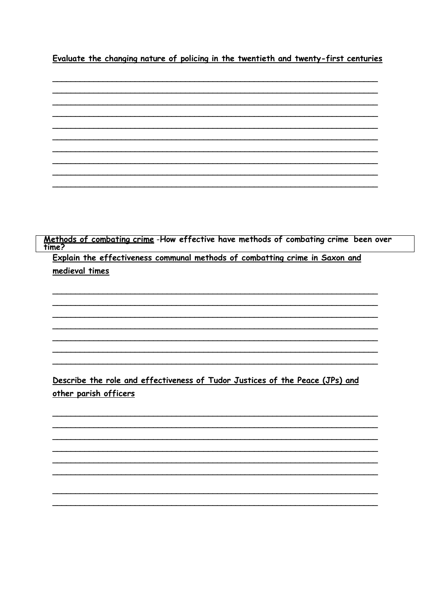Evaluate the changing nature of policing in the twentieth and twenty-first centuries



Methods of combating crime -How effective have methods of combating crime been over<br>time?

Explain the effectiveness communal methods of combatting crime in Saxon and medieval times

Describe the role and effectiveness of Tudor Justices of the Peace (JPs) and other parish officers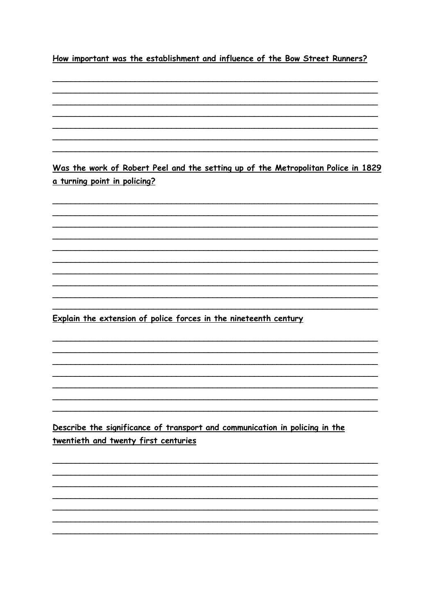How important was the establishment and influence of the Bow Street Runners?

a turning point in policing? Explain the extension of police forces in the nineteenth century

Was the work of Robert Peel and the setting up of the Metropolitan Police in 1829

Describe the significance of transport and communication in policing in the twentieth and twenty first centuries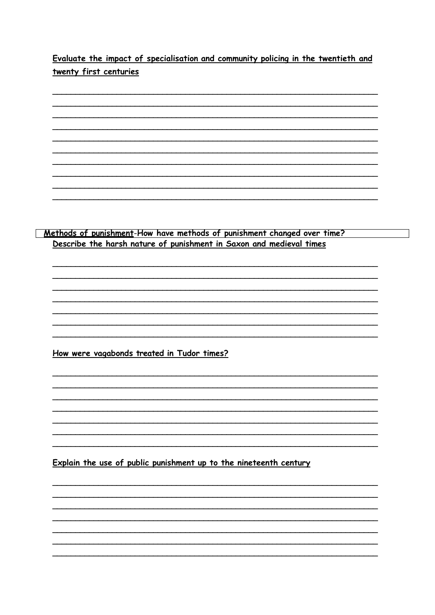Evaluate the impact of specialisation and community policing in the twentieth and twenty first centuries

Methods of punishment-How have methods of punishment changed over time? Describe the harsh nature of punishment in Saxon and medieval times How were vagabonds treated in Tudor times? Explain the use of public punishment up to the nineteenth century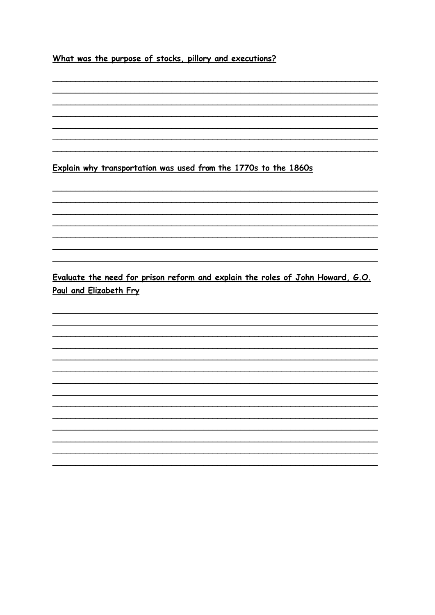What was the purpose of stocks, pillory and executions?

Explain why transportation was used from the 1770s to the 1860s

Evaluate the need for prison reform and explain the roles of John Howard, G.O. Paul and Elizabeth Fry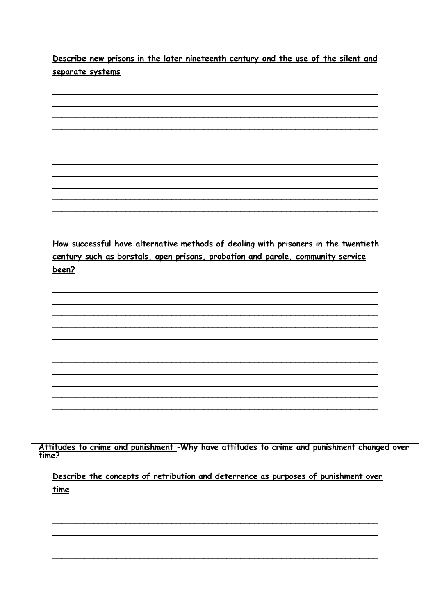Describe new prisons in the later nineteenth century and the use of the silent and separate systems

How successful have alternative methods of dealing with prisoners in the twentieth century such as borstals, open prisons, probation and parole, community service been?

Attitudes to crime and punishment -Why have attitudes to crime and punishment changed over<br>time?

Describe the concepts of retribution and deterrence as purposes of punishment over time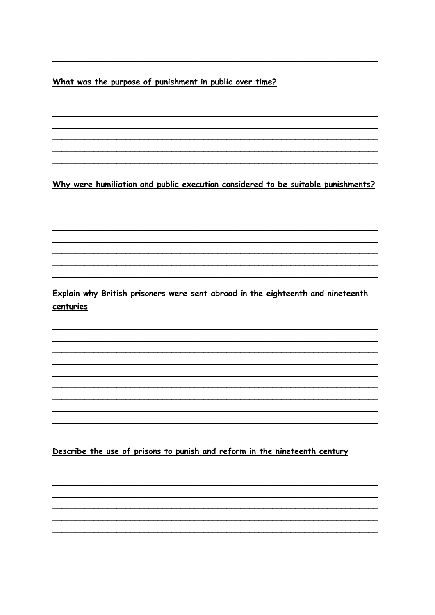What was the purpose of punishment in public over time?

Why were humiliation and public execution considered to be suitable punishments?

Explain why British prisoners were sent abroad in the eighteenth and nineteenth centuries

Describe the use of prisons to punish and reform in the nineteenth century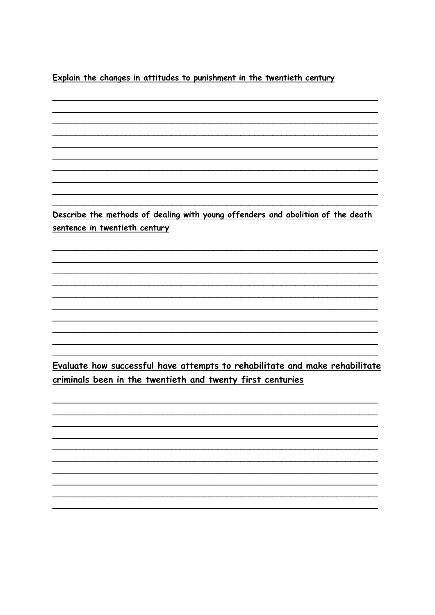Explain the changes in attitudes to punishment in the twentieth century

Describe the methods of dealing with young offenders and abolition of the death sentence in twentieth century

Evaluate how successful have attempts to rehabilitate and make rehabilitate criminals been in the twentieth and twenty first centuries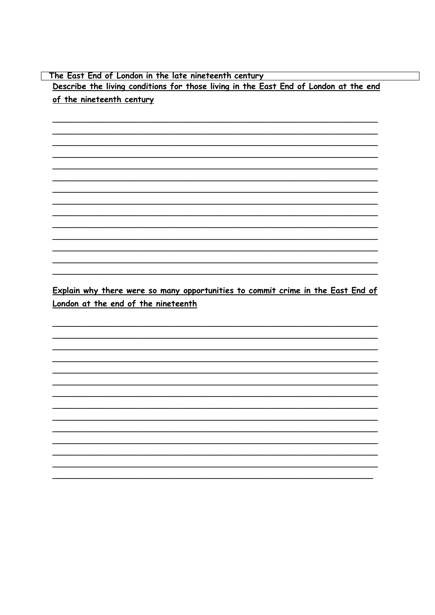The East End of London in the late nineteenth century Describe the living conditions for those living in the East End of London at the end of the nineteenth century

Explain why there were so many opportunities to commit crime in the East End of London at the end of the nineteenth